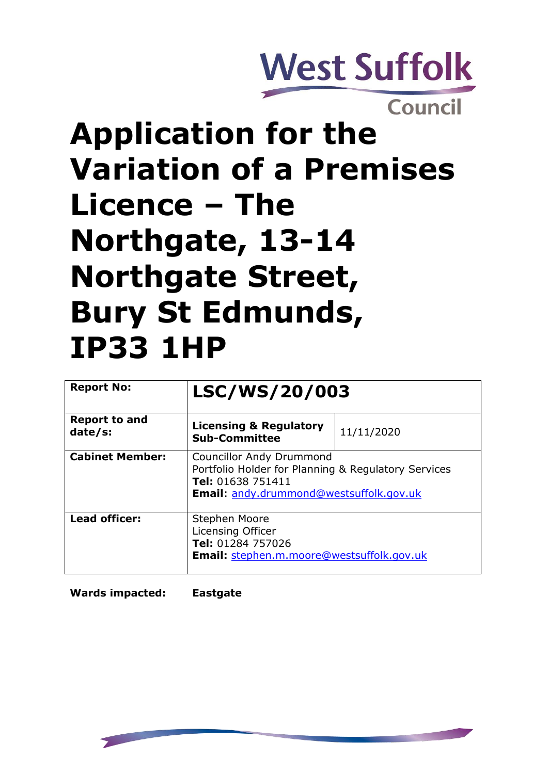

Council

# **Application for the Variation of a Premises Licence – The Northgate, 13-14 Northgate Street, Bury St Edmunds, IP33 1HP**

| <b>Report No:</b>               | LSC/WS/20/003                                                                                                                                                 |            |
|---------------------------------|---------------------------------------------------------------------------------------------------------------------------------------------------------------|------------|
| <b>Report to and</b><br>date/s: | <b>Licensing &amp; Regulatory</b><br><b>Sub-Committee</b>                                                                                                     | 11/11/2020 |
| <b>Cabinet Member:</b>          | <b>Councillor Andy Drummond</b><br>Portfolio Holder for Planning & Regulatory Services<br>Tel: 01638 751411<br><b>Email:</b> andy.drummond@westsuffolk.gov.uk |            |
| <b>Lead officer:</b>            | Stephen Moore<br>Licensing Officer<br>Tel: 01284 757026<br><b>Email:</b> stephen.m.moore@westsuffolk.gov.uk                                                   |            |

**Wards impacted: Eastgate**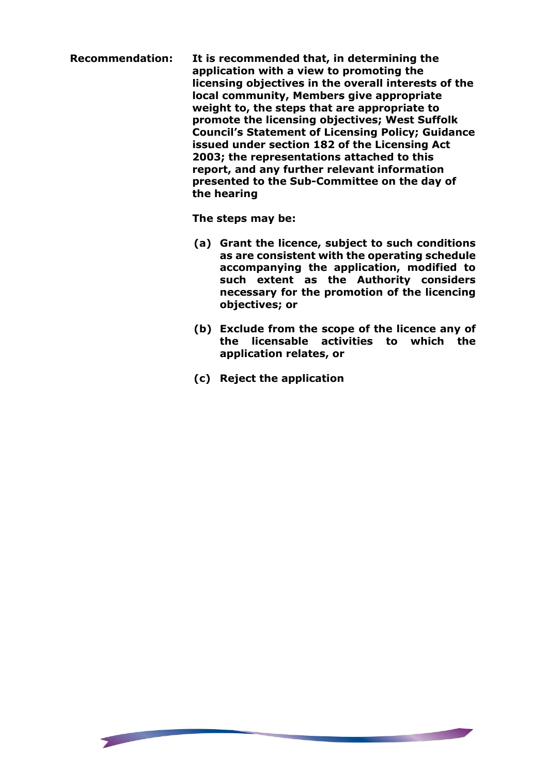**Recommendation: It is recommended that, in determining the application with a view to promoting the licensing objectives in the overall interests of the local community, Members give appropriate weight to, the steps that are appropriate to promote the licensing objectives; West Suffolk Council's Statement of Licensing Policy; Guidance issued under section 182 of the Licensing Act 2003; the representations attached to this report, and any further relevant information presented to the Sub-Committee on the day of the hearing**

**The steps may be:**

- **(a) Grant the licence, subject to such conditions as are consistent with the operating schedule accompanying the application, modified to such extent as the Authority considers necessary for the promotion of the licencing objectives; or**
- **(b) Exclude from the scope of the licence any of the licensable activities to which the application relates, or**

<u> Barat (Barat de </u>

**(c) Reject the application**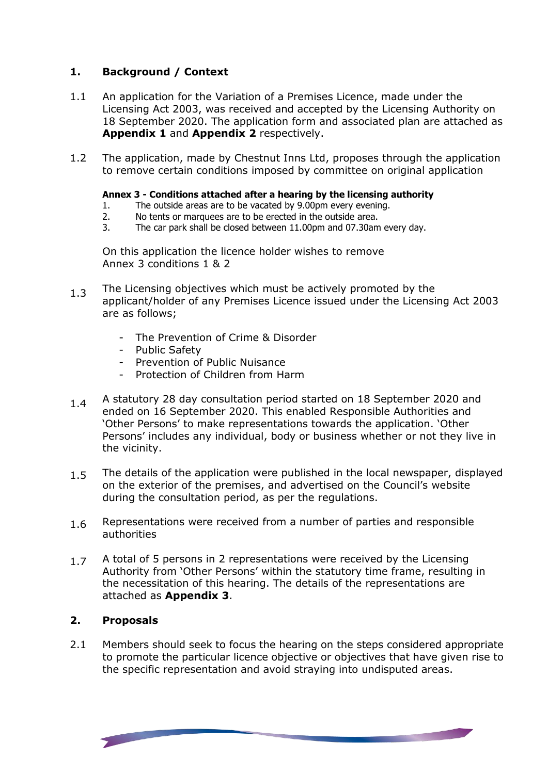## **1. Background / Context**

- 1.1 An application for the Variation of a Premises Licence, made under the Licensing Act 2003, was received and accepted by the Licensing Authority on 18 September 2020. The application form and associated plan are attached as **Appendix 1** and **Appendix 2** respectively.
- 1.2 The application, made by Chestnut Inns Ltd, proposes through the application to remove certain conditions imposed by committee on original application

### **Annex 3 - Conditions attached after a hearing by the licensing authority**

- 1. The outside areas are to be vacated by 9.00pm every evening.<br>2. No tents or marquees are to be erected in the outside area.
- 2. No tents or marquees are to be erected in the outside area.<br>3. The car park shall be closed between 11.00pm and 07.30am
- The car park shall be closed between 11.00pm and 07.30am every day.

On this application the licence holder wishes to remove Annex 3 conditions 1 & 2

- 1.3 The Licensing objectives which must be actively promoted by the applicant/holder of any Premises Licence issued under the Licensing Act 2003 are as follows;
	- The Prevention of Crime & Disorder
	- Public Safety
	- Prevention of Public Nuisance
	- Protection of Children from Harm
- 1.4 A statutory 28 day consultation period started on 18 September 2020 and ended on 16 September 2020. This enabled Responsible Authorities and 'Other Persons' to make representations towards the application. 'Other Persons' includes any individual, body or business whether or not they live in the vicinity.
- 1.5 The details of the application were published in the local newspaper, displayed on the exterior of the premises, and advertised on the Council's website during the consultation period, as per the regulations.
- 1.6 Representations were received from a number of parties and responsible authorities
- 1.7 A total of 5 persons in 2 representations were received by the Licensing Authority from 'Other Persons' within the statutory time frame, resulting in the necessitation of this hearing. The details of the representations are attached as **Appendix 3**.

#### **2. Proposals**

2.1 Members should seek to focus the hearing on the steps considered appropriate to promote the particular licence objective or objectives that have given rise to the specific representation and avoid straying into undisputed areas.

<u>The Company of the Company of the Company of the Company of the Company of the Company of the Company of the Co</u>